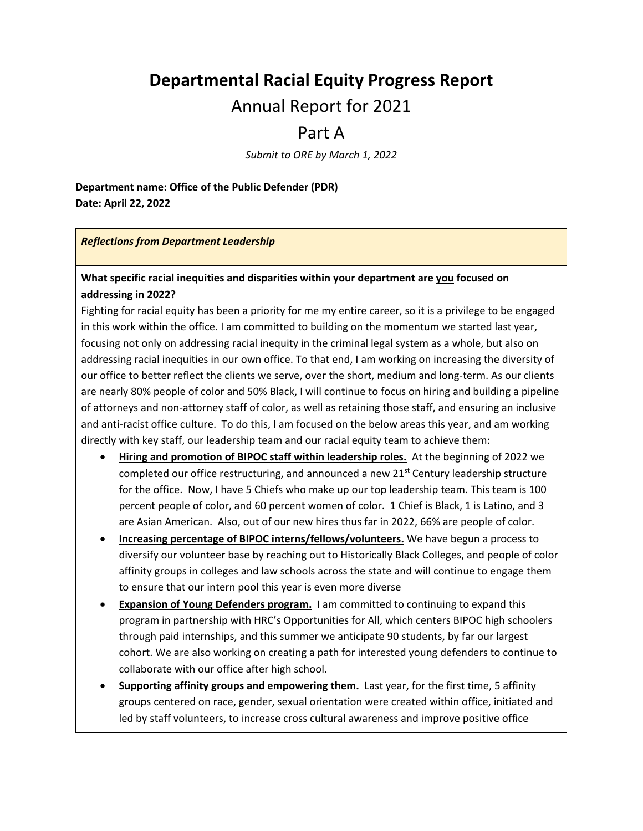# **Departmental Racial Equity Progress Report**

# Annual Report for 2021

# Part A

*Submit to ORE by March 1, 2022*

**Department name: Office of the Public Defender (PDR) Date: April 22, 2022**

#### *Reflections from Department Leadership*

## **What specific racial inequities and disparities within your department are you focused on addressing in 2022?**

Fighting for racial equity has been a priority for me my entire career, so it is a privilege to be engaged in this work within the office. I am committed to building on the momentum we started last year, focusing not only on addressing racial inequity in the criminal legal system as a whole, but also on addressing racial inequities in our own office. To that end, I am working on increasing the diversity of our office to better reflect the clients we serve, over the short, medium and long-term. As our clients are nearly 80% people of color and 50% Black, I will continue to focus on hiring and building a pipeline of attorneys and non-attorney staff of color, as well as retaining those staff, and ensuring an inclusive and anti-racist office culture. To do this, I am focused on the below areas this year, and am working directly with key staff, our leadership team and our racial equity team to achieve them:

- **Hiring and promotion of BIPOC staff within leadership roles.** At the beginning of 2022 we completed our office restructuring, and announced a new 21<sup>st</sup> Century leadership structure for the office. Now, I have 5 Chiefs who make up our top leadership team. This team is 100 percent people of color, and 60 percent women of color. 1 Chief is Black, 1 is Latino, and 3 are Asian American. Also, out of our new hires thus far in 2022, 66% are people of color.
- **Increasing percentage of BIPOC interns/fellows/volunteers.** We have begun a process to diversify our volunteer base by reaching out to Historically Black Colleges, and people of color affinity groups in colleges and law schools across the state and will continue to engage them to ensure that our intern pool this year is even more diverse
- **Expansion of Young Defenders program.** I am committed to continuing to expand this program in partnership with HRC's Opportunities for All, which centers BIPOC high schoolers through paid internships, and this summer we anticipate 90 students, by far our largest cohort. We are also working on creating a path for interested young defenders to continue to collaborate with our office after high school.
- **Supporting affinity groups and empowering them.** Last year, for the first time, 5 affinity groups centered on race, gender, sexual orientation were created within office, initiated and led by staff volunteers, to increase cross cultural awareness and improve positive office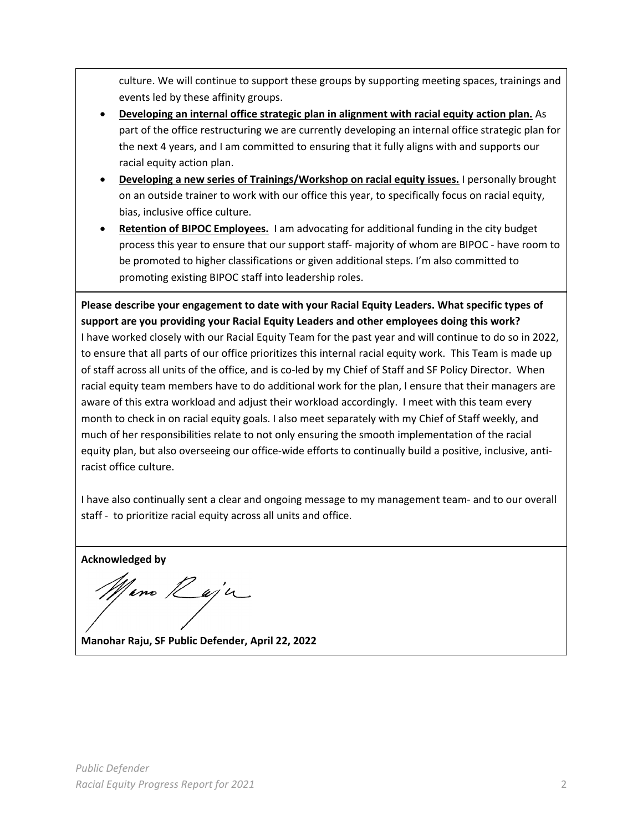culture. We will continue to support these groups by supporting meeting spaces, trainings and events led by these affinity groups.

- **Developing an internal office strategic plan in alignment with racial equity action plan.** As part of the office restructuring we are currently developing an internal office strategic plan for the next 4 years, and I am committed to ensuring that it fully aligns with and supports our racial equity action plan.
- **Developing a new series of Trainings/Workshop on racial equity issues.** I personally brought on an outside trainer to work with our office this year, to specifically focus on racial equity, bias, inclusive office culture.
- **Retention of BIPOC Employees.** I am advocating for additional funding in the city budget process this year to ensure that our support staff- majority of whom are BIPOC - have room to be promoted to higher classifications or given additional steps. I'm also committed to promoting existing BIPOC staff into leadership roles.

**Please describe your engagement to date with your Racial Equity Leaders. What specific types of support are you providing your Racial Equity Leaders and other employees doing this work?**  I have worked closely with our Racial Equity Team for the past year and will continue to do so in 2022,

to ensure that all parts of our office prioritizes this internal racial equity work. This Team is made up of staff across all units of the office, and is co-led by my Chief of Staff and SF Policy Director. When racial equity team members have to do additional work for the plan, I ensure that their managers are aware of this extra workload and adjust their workload accordingly. I meet with this team every month to check in on racial equity goals. I also meet separately with my Chief of Staff weekly, and much of her responsibilities relate to not only ensuring the smooth implementation of the racial equity plan, but also overseeing our office-wide efforts to continually build a positive, inclusive, antiracist office culture.

I have also continually sent a clear and ongoing message to my management team- and to our overall staff - to prioritize racial equity across all units and office.

**Acknowledged by** 

<sup>1</sup>ino *Rei*ja

**Manohar Raju, SF Public Defender, April 22, 2022**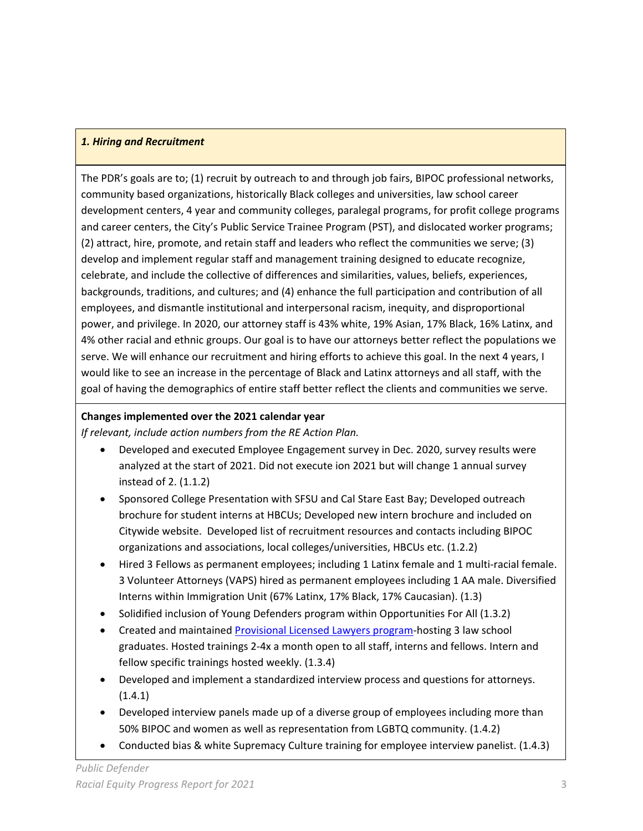## *1. Hiring and Recruitment*

The PDR's goals are to; (1) recruit by outreach to and through job fairs, BIPOC professional networks, community based organizations, historically Black colleges and universities, law school career development centers, 4 year and community colleges, paralegal programs, for profit college programs and career centers, the City's Public Service Trainee Program (PST), and dislocated worker programs; (2) attract, hire, promote, and retain staff and leaders who reflect the communities we serve; (3) develop and implement regular staff and management training designed to educate recognize, celebrate, and include the collective of differences and similarities, values, beliefs, experiences, backgrounds, traditions, and cultures; and (4) enhance the full participation and contribution of all employees, and dismantle institutional and interpersonal racism, inequity, and disproportional power, and privilege. In 2020, our attorney staff is 43% white, 19% Asian, 17% Black, 16% Latinx, and 4% other racial and ethnic groups. Our goal is to have our attorneys better reflect the populations we serve. We will enhance our recruitment and hiring efforts to achieve this goal. In the next 4 years, I would like to see an increase in the percentage of Black and Latinx attorneys and all staff, with the goal of having the demographics of entire staff better reflect the clients and communities we serve.

## **Changes implemented over the 2021 calendar year**

*If relevant, include action numbers from the RE Action Plan.* 

- Developed and executed Employee Engagement survey in Dec. 2020, survey results were analyzed at the start of 2021. Did not execute ion 2021 but will change 1 annual survey instead of 2. (1.1.2)
- Sponsored College Presentation with SFSU and Cal Stare East Bay; Developed outreach brochure for student interns at HBCUs; Developed new intern brochure and included on Citywide website. Developed list of recruitment resources and contacts including BIPOC organizations and associations, local colleges/universities, HBCUs etc. (1.2.2)
- Hired 3 Fellows as permanent employees; including 1 Latinx female and 1 multi-racial female. 3 Volunteer Attorneys (VAPS) hired as permanent employees including 1 AA male. Diversified Interns within Immigration Unit (67% Latinx, 17% Black, 17% Caucasian). (1.3)
- Solidified inclusion of Young Defenders program within Opportunities For All (1.3.2)
- Created and maintained [Provisional Licensed Lawyers program-](https://www.calbar.ca.gov/Admissions/Special-Admissions/Provisionally-Licensed-Lawyers#:%7E:text=The%20original%20program%20allows%20eligible,of%20the%20provisionally%20licensed%20lawyers)hosting 3 law school graduates. Hosted trainings 2-4x a month open to all staff, interns and fellows. Intern and fellow specific trainings hosted weekly. (1.3.4)
- Developed and implement a standardized interview process and questions for attorneys. (1.4.1)
- Developed interview panels made up of a diverse group of employees including more than 50% BIPOC and women as well as representation from LGBTQ community. (1.4.2)
- Conducted bias & white Supremacy Culture training for employee interview panelist. (1.4.3)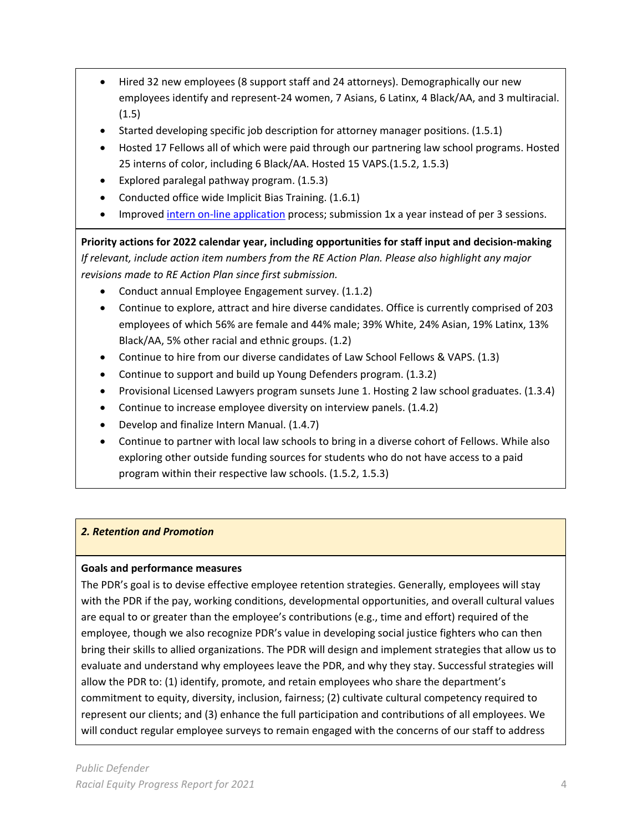- Hired 32 new employees (8 support staff and 24 attorneys). Demographically our new employees identify and represent-24 women, 7 Asians, 6 Latinx, 4 Black/AA, and 3 multiracial. (1.5)
- Started developing specific job description for attorney manager positions. (1.5.1)
- Hosted 17 Fellows all of which were paid through our partnering law school programs. Hosted 25 interns of color, including 6 Black/AA. Hosted 15 VAPS.(1.5.2, 1.5.3)
- Explored paralegal pathway program. (1.5.3)
- Conducted office wide Implicit Bias Training. (1.6.1)
- Improved intern on-line application process; submission 1x a year instead of per 3 sessions.

**Priority actions for 2022 calendar year, including opportunities for staff input and decision-making** *If relevant, include action item numbers from the RE Action Plan. Please also highlight any major revisions made to RE Action Plan since first submission.*

- Conduct annual Employee Engagement survey. (1.1.2)
- Continue to explore, attract and hire diverse candidates. Office is currently comprised of 203 employees of which 56% are female and 44% male; 39% White, 24% Asian, 19% Latinx, 13% Black/AA, 5% other racial and ethnic groups. (1.2)
- Continue to hire from our diverse candidates of Law School Fellows & VAPS. (1.3)
- Continue to support and build up Young Defenders program. (1.3.2)
- Provisional Licensed Lawyers program sunsets June 1. Hosting 2 law school graduates. (1.3.4)
- Continue to increase employee diversity on interview panels. (1.4.2)
- Develop and finalize Intern Manual. (1.4.7)
- Continue to partner with local law schools to bring in a diverse cohort of Fellows. While also exploring other outside funding sources for students who do not have access to a paid program within their respective law schools. (1.5.2, 1.5.3)

## *2. Retention and Promotion*

## **Goals and performance measures**

The PDR's goal is to devise effective employee retention strategies. Generally, employees will stay with the PDR if the pay, working conditions, developmental opportunities, and overall cultural values are equal to or greater than the employee's contributions (e.g., time and effort) required of the employee, though we also recognize PDR's value in developing social justice fighters who can then bring their skills to allied organizations. The PDR will design and implement strategies that allow us to evaluate and understand why employees leave the PDR, and why they stay. Successful strategies will allow the PDR to: (1) identify, promote, and retain employees who share the department's commitment to equity, diversity, inclusion, fairness; (2) cultivate cultural competency required to represent our clients; and (3) enhance the full participation and contributions of all employees. We will conduct regular employee surveys to remain engaged with the concerns of our staff to address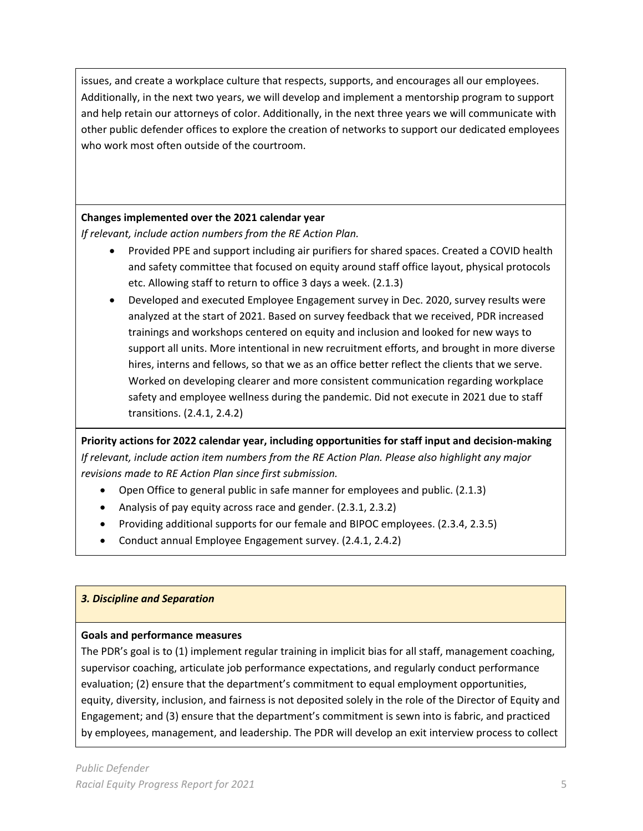issues, and create a workplace culture that respects, supports, and encourages all our employees. Additionally, in the next two years, we will develop and implement a mentorship program to support and help retain our attorneys of color. Additionally, in the next three years we will communicate with other public defender offices to explore the creation of networks to support our dedicated employees who work most often outside of the courtroom.

## **Changes implemented over the 2021 calendar year**

*If relevant, include action numbers from the RE Action Plan.* 

- Provided PPE and support including air purifiers for shared spaces. Created a COVID health and safety committee that focused on equity around staff office layout, physical protocols etc. Allowing staff to return to office 3 days a week. (2.1.3)
- Developed and executed Employee Engagement survey in Dec. 2020, survey results were analyzed at the start of 2021. Based on survey feedback that we received, PDR increased trainings and workshops centered on equity and inclusion and looked for new ways to support all units. More intentional in new recruitment efforts, and brought in more diverse hires, interns and fellows, so that we as an office better reflect the clients that we serve. Worked on developing clearer and more consistent communication regarding workplace safety and employee wellness during the pandemic. Did not execute in 2021 due to staff transitions. (2.4.1, 2.4.2)

**Priority actions for 2022 calendar year, including opportunities for staff input and decision-making** *If relevant, include action item numbers from the RE Action Plan. Please also highlight any major revisions made to RE Action Plan since first submission.*

- Open Office to general public in safe manner for employees and public. (2.1.3)
- Analysis of pay equity across race and gender. (2.3.1, 2.3.2)
- Providing additional supports for our female and BIPOC employees. (2.3.4, 2.3.5)
- Conduct annual Employee Engagement survey. (2.4.1, 2.4.2)

#### *3. Discipline and Separation*

#### **Goals and performance measures**

The PDR's goal is to (1) implement regular training in implicit bias for all staff, management coaching, supervisor coaching, articulate job performance expectations, and regularly conduct performance evaluation; (2) ensure that the department's commitment to equal employment opportunities, equity, diversity, inclusion, and fairness is not deposited solely in the role of the Director of Equity and Engagement; and (3) ensure that the department's commitment is sewn into is fabric, and practiced by employees, management, and leadership. The PDR will develop an exit interview process to collect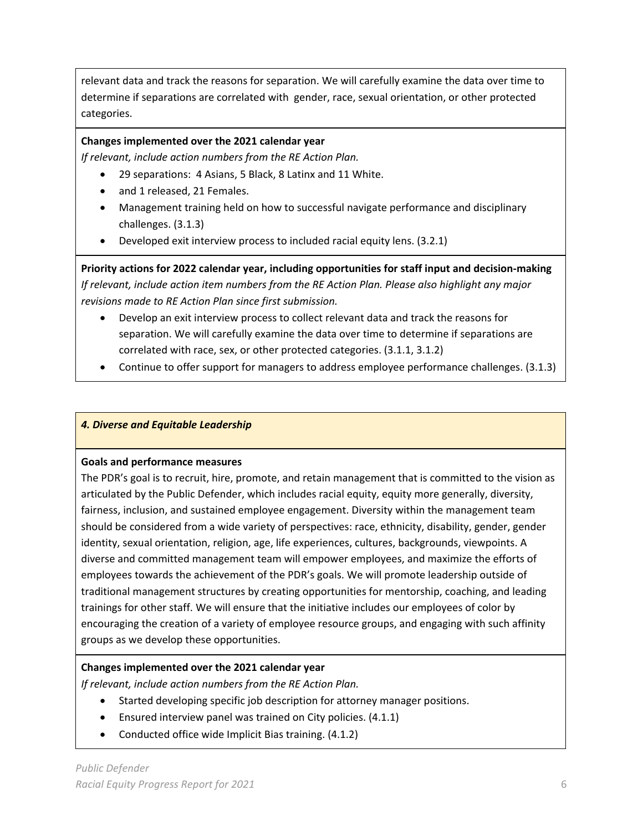relevant data and track the reasons for separation. We will carefully examine the data over time to determine if separations are correlated with gender, race, sexual orientation, or other protected categories.

## **Changes implemented over the 2021 calendar year**

*If relevant, include action numbers from the RE Action Plan.* 

- 29 separations: 4 Asians, 5 Black, 8 Latinx and 11 White.
- and 1 released, 21 Females.
- Management training held on how to successful navigate performance and disciplinary challenges. (3.1.3)
- Developed exit interview process to included racial equity lens. (3.2.1)

**Priority actions for 2022 calendar year, including opportunities for staff input and decision-making** *If relevant, include action item numbers from the RE Action Plan. Please also highlight any major revisions made to RE Action Plan since first submission.*

- Develop an exit interview process to collect relevant data and track the reasons for separation. We will carefully examine the data over time to determine if separations are correlated with race, sex, or other protected categories. (3.1.1, 3.1.2)
- Continue to offer support for managers to address employee performance challenges. (3.1.3)

## *4. Diverse and Equitable Leadership*

#### **Goals and performance measures**

The PDR's goal is to recruit, hire, promote, and retain management that is committed to the vision as articulated by the Public Defender, which includes racial equity, equity more generally, diversity, fairness, inclusion, and sustained employee engagement. Diversity within the management team should be considered from a wide variety of perspectives: race, ethnicity, disability, gender, gender identity, sexual orientation, religion, age, life experiences, cultures, backgrounds, viewpoints. A diverse and committed management team will empower employees, and maximize the efforts of employees towards the achievement of the PDR's goals. We will promote leadership outside of traditional management structures by creating opportunities for mentorship, coaching, and leading trainings for other staff. We will ensure that the initiative includes our employees of color by encouraging the creation of a variety of employee resource groups, and engaging with such affinity groups as we develop these opportunities.

## **Changes implemented over the 2021 calendar year**

*If relevant, include action numbers from the RE Action Plan.* 

- Started developing specific job description for attorney manager positions.
- Ensured interview panel was trained on City policies. (4.1.1)
- Conducted office wide Implicit Bias training. (4.1.2)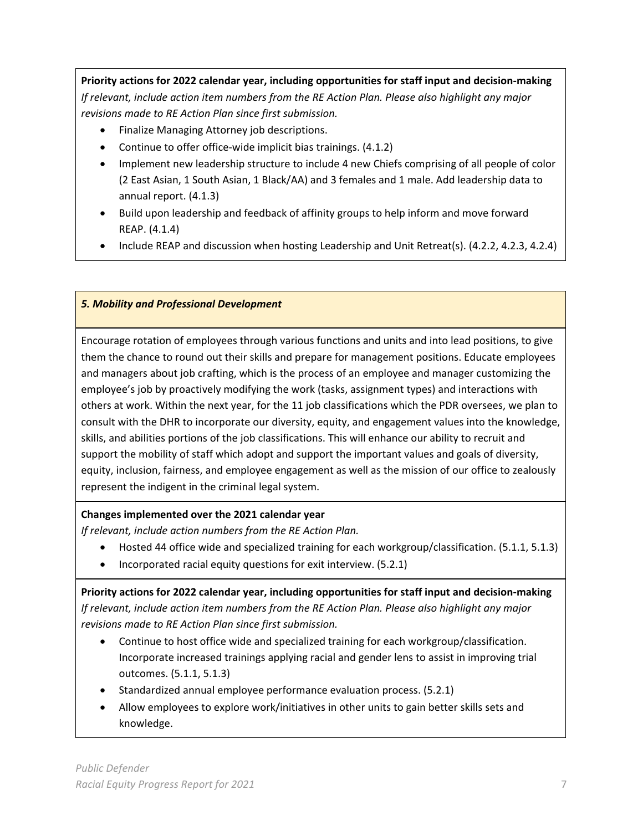**Priority actions for 2022 calendar year, including opportunities for staff input and decision-making** *If relevant, include action item numbers from the RE Action Plan. Please also highlight any major revisions made to RE Action Plan since first submission.*

- Finalize Managing Attorney job descriptions.
- Continue to offer office-wide implicit bias trainings. (4.1.2)
- Implement new leadership structure to include 4 new Chiefs comprising of all people of color (2 East Asian, 1 South Asian, 1 Black/AA) and 3 females and 1 male. Add leadership data to annual report. (4.1.3)
- Build upon leadership and feedback of affinity groups to help inform and move forward REAP. (4.1.4)
- Include REAP and discussion when hosting Leadership and Unit Retreat(s). (4.2.2, 4.2.3, 4.2.4)

#### *5. Mobility and Professional Development*

Encourage rotation of employees through various functions and units and into lead positions, to give them the chance to round out their skills and prepare for management positions. Educate employees and managers about job crafting, which is the process of an employee and manager customizing the employee's job by proactively modifying the work (tasks, assignment types) and interactions with others at work. Within the next year, for the 11 job classifications which the PDR oversees, we plan to consult with the DHR to incorporate our diversity, equity, and engagement values into the knowledge, skills, and abilities portions of the job classifications. This will enhance our ability to recruit and support the mobility of staff which adopt and support the important values and goals of diversity, equity, inclusion, fairness, and employee engagement as well as the mission of our office to zealously represent the indigent in the criminal legal system.

## **Changes implemented over the 2021 calendar year**

*If relevant, include action numbers from the RE Action Plan.* 

- Hosted 44 office wide and specialized training for each workgroup/classification. (5.1.1, 5.1.3)
- Incorporated racial equity questions for exit interview. (5.2.1)

**Priority actions for 2022 calendar year, including opportunities for staff input and decision-making** *If relevant, include action item numbers from the RE Action Plan. Please also highlight any major revisions made to RE Action Plan since first submission.*

- Continue to host office wide and specialized training for each workgroup/classification. Incorporate increased trainings applying racial and gender lens to assist in improving trial outcomes. (5.1.1, 5.1.3)
- Standardized annual employee performance evaluation process. (5.2.1)
- Allow employees to explore work/initiatives in other units to gain better skills sets and knowledge.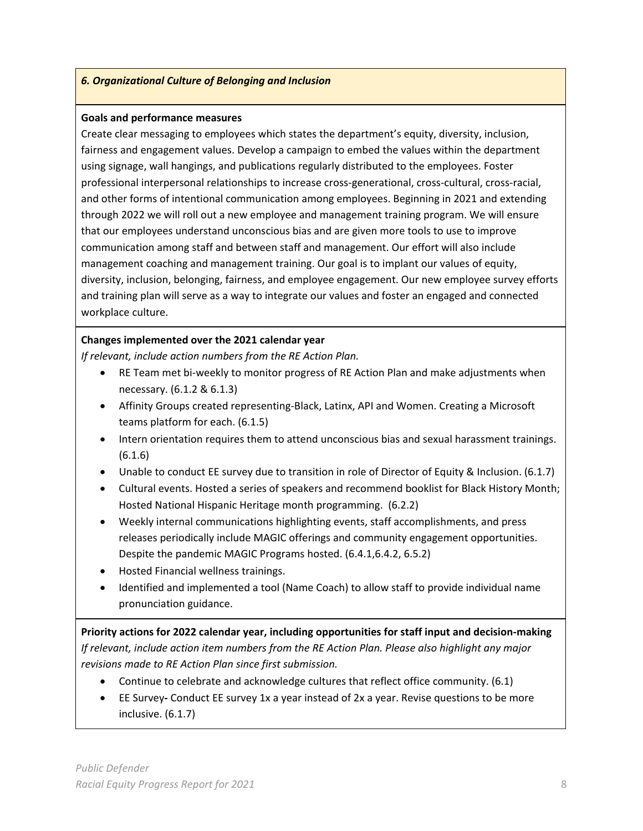#### *6. Organizational Culture of Belonging and Inclusion*

#### **Goals and performance measures**

Create clear messaging to employees which states the department's equity, diversity, inclusion, fairness and engagement values. Develop a campaign to embed the values within the department using signage, wall hangings, and publications regularly distributed to the employees. Foster professional interpersonal relationships to increase cross-generational, cross-cultural, cross-racial, and other forms of intentional communication among employees. Beginning in 2021 and extending through 2022 we will roll out a new employee and management training program. We will ensure that our employees understand unconscious bias and are given more tools to use to improve communication among staff and between staff and management. Our effort will also include management coaching and management training. Our goal is to implant our values of equity, diversity, inclusion, belonging, fairness, and employee engagement. Our new employee survey efforts and training plan will serve as a way to integrate our values and foster an engaged and connected workplace culture.

#### **Changes implemented over the 2021 calendar year**

*If relevant, include action numbers from the RE Action Plan.* 

- RE Team met bi-weekly to monitor progress of RE Action Plan and make adjustments when necessary. (6.1.2 & 6.1.3)
- Affinity Groups created representing-Black, Latinx, API and Women. Creating a Microsoft teams platform for each. (6.1.5)
- Intern orientation requires them to attend unconscious bias and sexual harassment trainings. (6.1.6)
- Unable to conduct EE survey due to transition in role of Director of Equity & Inclusion. (6.1.7)
- Cultural events. Hosted a series of speakers and recommend booklist for Black History Month; Hosted National Hispanic Heritage month programming. (6.2.2)
- Weekly internal communications highlighting events, staff accomplishments, and press releases periodically include MAGIC offerings and community engagement opportunities. Despite the pandemic MAGIC Programs hosted. (6.4.1,6.4.2, 6.5.2)
- Hosted Financial wellness trainings.
- Identified and implemented a tool (Name Coach) to allow staff to provide individual name pronunciation guidance.

**Priority actions for 2022 calendar year, including opportunities for staff input and decision-making** *If relevant, include action item numbers from the RE Action Plan. Please also highlight any major revisions made to RE Action Plan since first submission.*

- Continue to celebrate and acknowledge cultures that reflect office community. (6.1)
- EE Survey**-** Conduct EE survey 1x a year instead of 2x a year. Revise questions to be more inclusive. (6.1.7)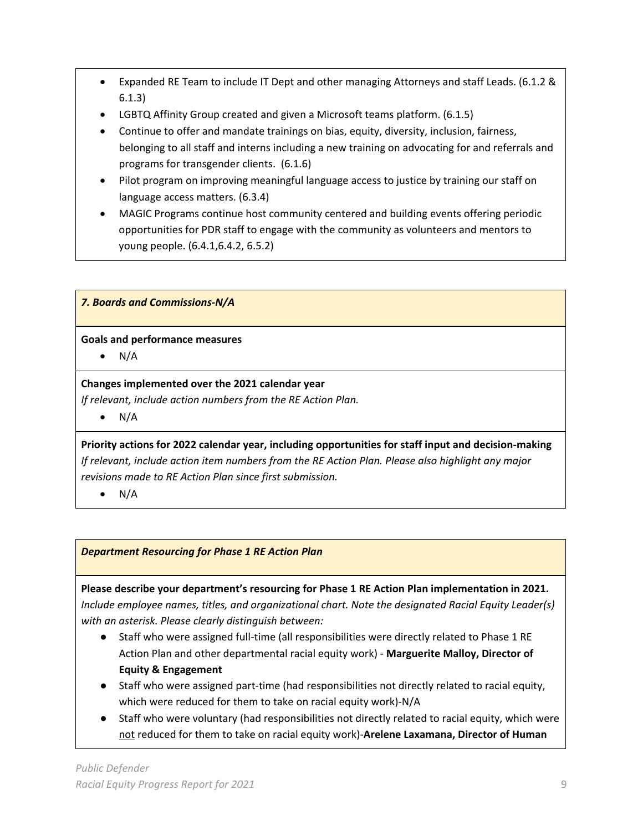- Expanded RE Team to include IT Dept and other managing Attorneys and staff Leads. (6.1.2 & 6.1.3)
- LGBTQ Affinity Group created and given a Microsoft teams platform. (6.1.5)
- Continue to offer and mandate trainings on bias, equity, diversity, inclusion, fairness, belonging to all staff and interns including a new training on advocating for and referrals and programs for transgender clients. (6.1.6)
- Pilot program on improving meaningful language access to justice by training our staff on language access matters. (6.3.4)
- MAGIC Programs continue host community centered and building events offering periodic opportunities for PDR staff to engage with the community as volunteers and mentors to young people. (6.4.1,6.4.2, 6.5.2)

*7. Boards and Commissions-N/A* 

## **Goals and performance measures**

 $\bullet$  N/A

## **Changes implemented over the 2021 calendar year**

*If relevant, include action numbers from the RE Action Plan.* 

 $\bullet$  N/A

**Priority actions for 2022 calendar year, including opportunities for staff input and decision-making** *If relevant, include action item numbers from the RE Action Plan. Please also highlight any major revisions made to RE Action Plan since first submission.*

 $\bullet$  N/A

## *Department Resourcing for Phase 1 RE Action Plan*

**Please describe your department's resourcing for Phase 1 RE Action Plan implementation in 2021.**  *Include employee names, titles, and organizational chart. Note the designated Racial Equity Leader(s) with an asterisk. Please clearly distinguish between:*

- Staff who were assigned full-time (all responsibilities were directly related to Phase 1 RE Action Plan and other departmental racial equity work) - **Marguerite Malloy, Director of Equity & Engagement**
- Staff who were assigned part-time (had responsibilities not directly related to racial equity, which were reduced for them to take on racial equity work)-N/A
- Staff who were voluntary (had responsibilities not directly related to racial equity, which were not reduced for them to take on racial equity work)-**Arelene Laxamana, Director of Human**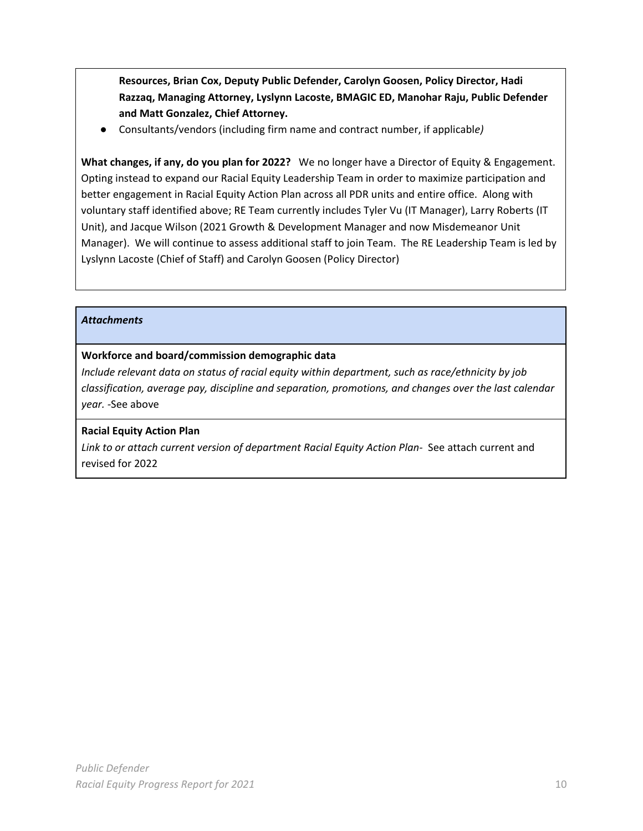**Resources, Brian Cox, Deputy Public Defender, Carolyn Goosen, Policy Director, Hadi Razzaq, Managing Attorney, Lyslynn Lacoste, BMAGIC ED, Manohar Raju, Public Defender and Matt Gonzalez, Chief Attorney.**

● Consultants/vendors (including firm name and contract number, if applicabl*e)*

**What changes, if any, do you plan for 2022?** We no longer have a Director of Equity & Engagement. Opting instead to expand our Racial Equity Leadership Team in order to maximize participation and better engagement in Racial Equity Action Plan across all PDR units and entire office. Along with voluntary staff identified above; RE Team currently includes Tyler Vu (IT Manager), Larry Roberts (IT Unit), and Jacque Wilson (2021 Growth & Development Manager and now Misdemeanor Unit Manager). We will continue to assess additional staff to join Team. The RE Leadership Team is led by Lyslynn Lacoste (Chief of Staff) and Carolyn Goosen (Policy Director)

#### *Attachments*

## **Workforce and board/commission demographic data**

*Include relevant data on status of racial equity within department, such as race/ethnicity by job classification, average pay, discipline and separation, promotions, and changes over the last calendar year. -*See above

## **Racial Equity Action Plan**

*Link to or attach current version of department Racial Equity Action Plan-* See attach current and revised for 2022